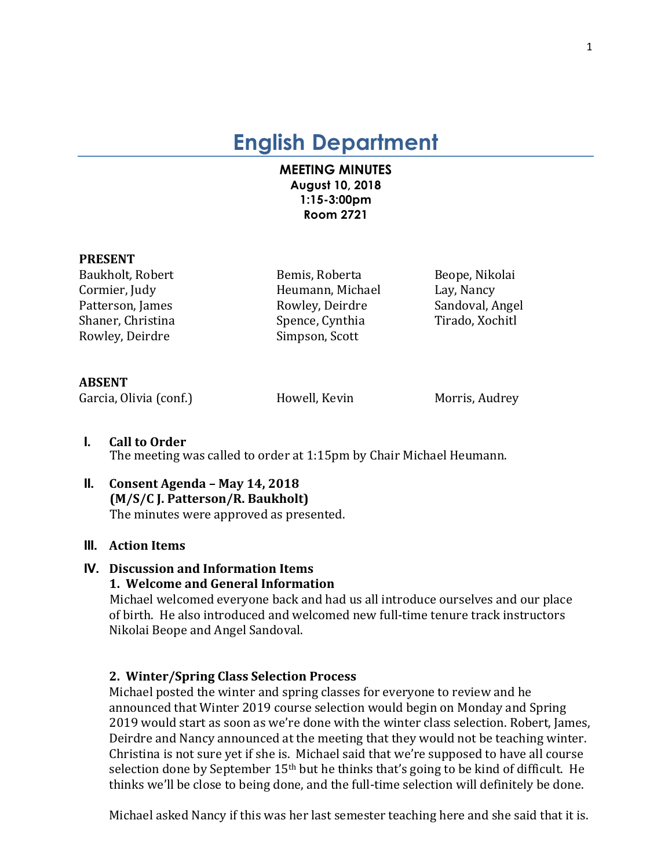# **English Department**

# **MEETING MINUTES August 10, 2018 1:15-3:00pm Room 2721**

#### **PRESENT**

Rowley, Deirdre Simpson, Scott

Baukholt, Robert **Bemis, Roberta** Beope, Nikolai Cormier, Judy **Example 2** Heumann, Michael Lay, Nancy Patterson, James **Rowley, Deirdre** Sandoval, Angel Shaner, Christina Spence, Cynthia Tirado, Xochitl

#### **ABSENT**

Garcia, Olivia (conf.) The Movell, Kevin Morris, Audrey

- **I. Call to Order** The meeting was called to order at 1:15pm by Chair Michael Heumann.
- **II. Consent Agenda – May 14, 2018 (M/S/C J. Patterson/R. Baukholt)** The minutes were approved as presented.

# **III. Action Items**

# **IV. Discussion and Information Items**

# **1. Welcome and General Information**

Michael welcomed everyone back and had us all introduce ourselves and our place of birth. He also introduced and welcomed new full-time tenure track instructors Nikolai Beope and Angel Sandoval.

#### **2. Winter/Spring Class Selection Process**

Michael posted the winter and spring classes for everyone to review and he announced that Winter 2019 course selection would begin on Monday and Spring 2019 would start as soon as we're done with the winter class selection. Robert, James, Deirdre and Nancy announced at the meeting that they would not be teaching winter. Christina is not sure yet if she is. Michael said that we're supposed to have all course selection done by September  $15<sup>th</sup>$  but he thinks that's going to be kind of difficult. He thinks we'll be close to being done, and the full-time selection will definitely be done.

Michael asked Nancy if this was her last semester teaching here and she said that it is.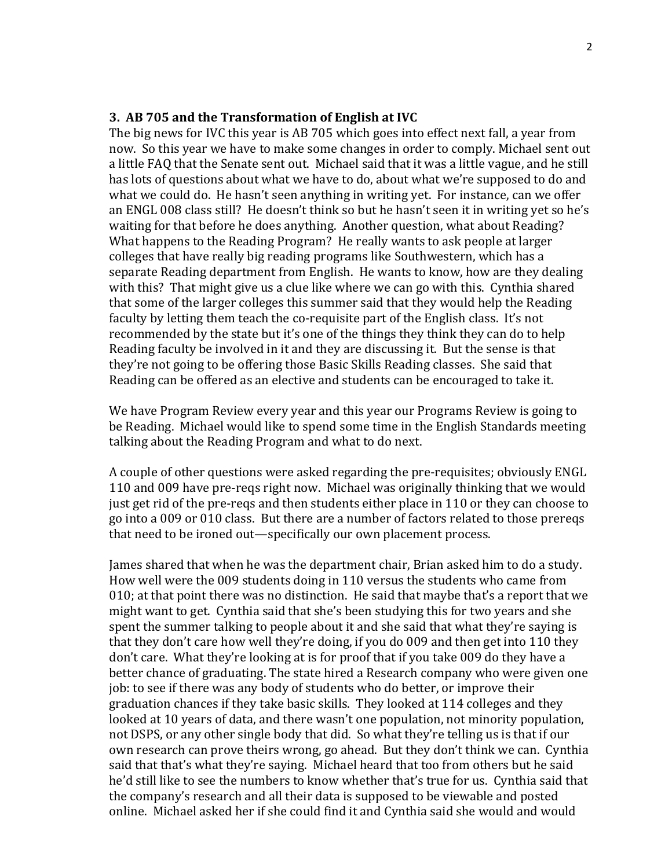#### **3. AB 705 and the Transformation of English at IVC**

The big news for IVC this year is AB 705 which goes into effect next fall, a year from now. So this year we have to make some changes in order to comply. Michael sent out a little FAQ that the Senate sent out. Michael said that it was a little vague, and he still has lots of questions about what we have to do, about what we're supposed to do and what we could do. He hasn't seen anything in writing yet. For instance, can we offer an ENGL 008 class still? He doesn't think so but he hasn't seen it in writing yet so he's waiting for that before he does anything. Another question, what about Reading? What happens to the Reading Program? He really wants to ask people at larger colleges that have really big reading programs like Southwestern, which has a separate Reading department from English. He wants to know, how are they dealing with this? That might give us a clue like where we can go with this. Cynthia shared that some of the larger colleges this summer said that they would help the Reading faculty by letting them teach the co-requisite part of the English class. It's not recommended by the state but it's one of the things they think they can do to help Reading faculty be involved in it and they are discussing it. But the sense is that they're not going to be offering those Basic Skills Reading classes. She said that Reading can be offered as an elective and students can be encouraged to take it.

We have Program Review every year and this year our Programs Review is going to be Reading. Michael would like to spend some time in the English Standards meeting talking about the Reading Program and what to do next.

A couple of other questions were asked regarding the pre-requisites; obviously ENGL 110 and 009 have pre-reqs right now. Michael was originally thinking that we would just get rid of the pre-reqs and then students either place in 110 or they can choose to go into a 009 or 010 class. But there are a number of factors related to those prereqs that need to be ironed out—specifically our own placement process.

James shared that when he was the department chair, Brian asked him to do a study. How well were the 009 students doing in 110 versus the students who came from  $010$ ; at that point there was no distinction. He said that maybe that's a report that we might want to get. Cynthia said that she's been studying this for two years and she spent the summer talking to people about it and she said that what they're saying is that they don't care how well they're doing, if you do 009 and then get into 110 they don't care. What they're looking at is for proof that if you take 009 do they have a better chance of graduating. The state hired a Research company who were given one job: to see if there was any body of students who do better, or improve their graduation chances if they take basic skills. They looked at 114 colleges and they looked at 10 years of data, and there wasn't one population, not minority population, not DSPS, or any other single body that did. So what they're telling us is that if our own research can prove theirs wrong, go ahead. But they don't think we can. Cynthia said that that's what they're saying. Michael heard that too from others but he said he'd still like to see the numbers to know whether that's true for us. Cynthia said that the company's research and all their data is supposed to be viewable and posted online. Michael asked her if she could find it and Cynthia said she would and would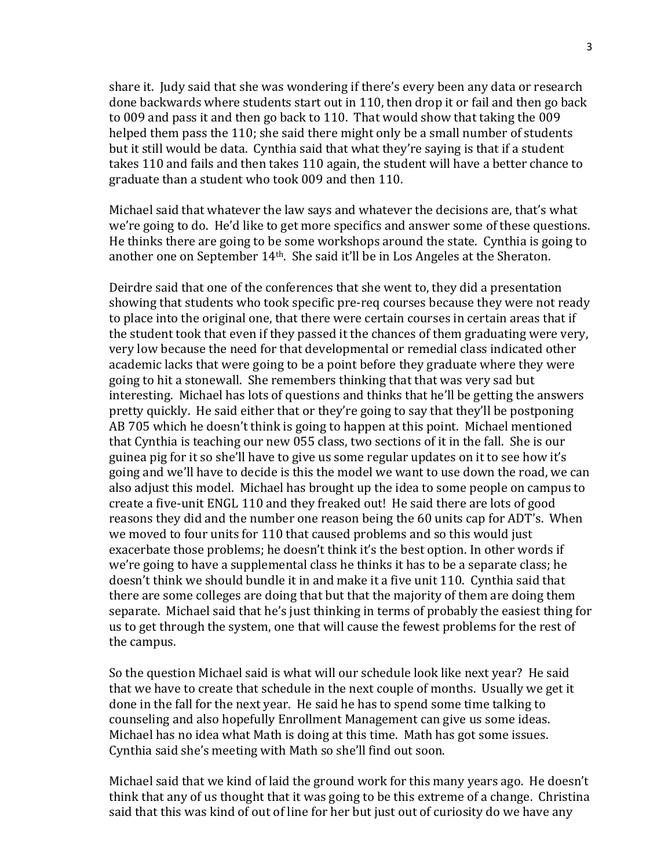share it. Judy said that she was wondering if there's every been any data or research done backwards where students start out in 110, then drop it or fail and then go back to 009 and pass it and then go back to 110. That would show that taking the 009 helped them pass the 110; she said there might only be a small number of students but it still would be data. Cynthia said that what they're saying is that if a student takes 110 and fails and then takes 110 again, the student will have a better chance to graduate than a student who took 009 and then 110.

Michael said that whatever the law says and whatever the decisions are, that's what we're going to do. He'd like to get more specifics and answer some of these questions. He thinks there are going to be some workshops around the state. Cynthia is going to another one on September  $14<sup>th</sup>$ . She said it'll be in Los Angeles at the Sheraton.

Deirdre said that one of the conferences that she went to, they did a presentation showing that students who took specific pre-req courses because they were not ready to place into the original one, that there were certain courses in certain areas that if the student took that even if they passed it the chances of them graduating were very, very low because the need for that developmental or remedial class indicated other academic lacks that were going to be a point before they graduate where they were going to hit a stonewall. She remembers thinking that that was very sad but interesting. Michael has lots of questions and thinks that he'll be getting the answers pretty quickly. He said either that or they're going to say that they'll be postponing AB 705 which he doesn't think is going to happen at this point. Michael mentioned that Cynthia is teaching our new 055 class, two sections of it in the fall. She is our guinea pig for it so she'll have to give us some regular updates on it to see how it's going and we'll have to decide is this the model we want to use down the road, we can also adjust this model. Michael has brought up the idea to some people on campus to create a five-unit ENGL 110 and they freaked out! He said there are lots of good reasons they did and the number one reason being the 60 units cap for ADT's. When we moved to four units for 110 that caused problems and so this would just exacerbate those problems; he doesn't think it's the best option. In other words if we're going to have a supplemental class he thinks it has to be a separate class; he doesn't think we should bundle it in and make it a five unit 110. Cynthia said that there are some colleges are doing that but that the majority of them are doing them separate. Michael said that he's just thinking in terms of probably the easiest thing for us to get through the system, one that will cause the fewest problems for the rest of the campus.

So the question Michael said is what will our schedule look like next year? He said that we have to create that schedule in the next couple of months. Usually we get it done in the fall for the next year. He said he has to spend some time talking to counseling and also hopefully Enrollment Management can give us some ideas. Michael has no idea what Math is doing at this time. Math has got some issues. Cynthia said she's meeting with Math so she'll find out soon.

Michael said that we kind of laid the ground work for this many years ago. He doesn't think that any of us thought that it was going to be this extreme of a change. Christina said that this was kind of out of line for her but just out of curiosity do we have any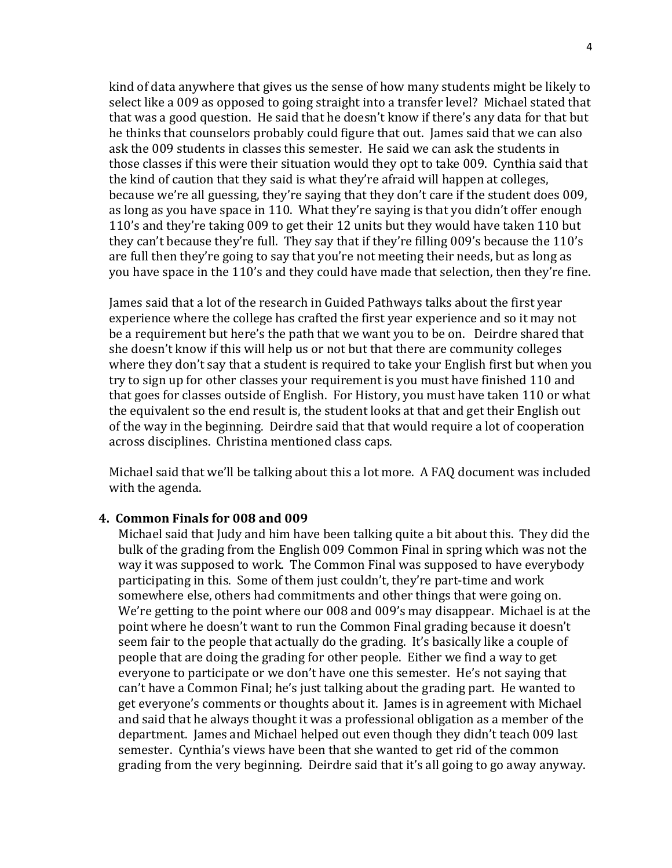kind of data anywhere that gives us the sense of how many students might be likely to select like a 009 as opposed to going straight into a transfer level? Michael stated that that was a good question. He said that he doesn't know if there's any data for that but he thinks that counselors probably could figure that out. James said that we can also ask the 009 students in classes this semester. He said we can ask the students in those classes if this were their situation would they opt to take 009. Cynthia said that the kind of caution that they said is what they're afraid will happen at colleges, because we're all guessing, they're saying that they don't care if the student does 009, as long as you have space in 110. What they're saying is that you didn't offer enough 110's and they're taking 009 to get their 12 units but they would have taken 110 but they can't because they're full. They say that if they're filling 009's because the 110's are full then they're going to say that you're not meeting their needs, but as long as you have space in the 110's and they could have made that selection, then they're fine.

James said that a lot of the research in Guided Pathways talks about the first year experience where the college has crafted the first year experience and so it may not be a requirement but here's the path that we want you to be on. Deirdre shared that she doesn't know if this will help us or not but that there are community colleges where they don't say that a student is required to take your English first but when you try to sign up for other classes your requirement is you must have finished 110 and that goes for classes outside of English. For History, you must have taken 110 or what the equivalent so the end result is, the student looks at that and get their English out of the way in the beginning. Deirdre said that that would require a lot of cooperation across disciplines. Christina mentioned class caps.

Michael said that we'll be talking about this a lot more. A FAQ document was included with the agenda.

#### **4. Common Finals for 008 and 009**

Michael said that Judy and him have been talking quite a bit about this. They did the bulk of the grading from the English 009 Common Final in spring which was not the way it was supposed to work. The Common Final was supposed to have everybody participating in this. Some of them just couldn't, they're part-time and work somewhere else, others had commitments and other things that were going on. We're getting to the point where our 008 and 009's may disappear. Michael is at the point where he doesn't want to run the Common Final grading because it doesn't seem fair to the people that actually do the grading. It's basically like a couple of people that are doing the grading for other people. Either we find a way to get everyone to participate or we don't have one this semester. He's not saying that can't have a Common Final; he's just talking about the grading part. He wanted to get everyone's comments or thoughts about it. James is in agreement with Michael and said that he always thought it was a professional obligation as a member of the department. James and Michael helped out even though they didn't teach 009 last semester. Cynthia's views have been that she wanted to get rid of the common grading from the very beginning. Deirdre said that it's all going to go away anyway.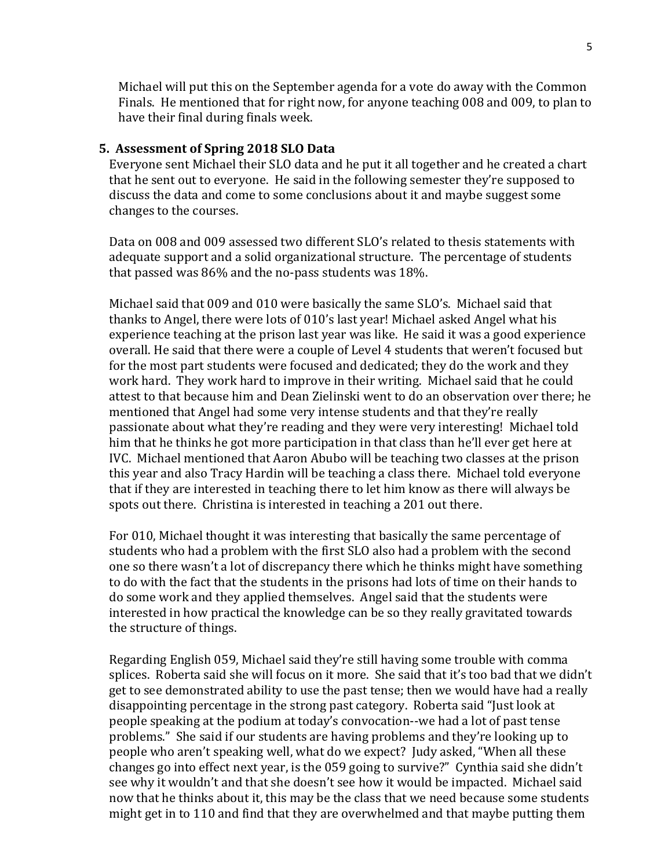Michael will put this on the September agenda for a vote do away with the Common Finals. He mentioned that for right now, for anyone teaching 008 and 009, to plan to have their final during finals week.

#### **5. Assessment of Spring 2018 SLO Data**

Everyone sent Michael their SLO data and he put it all together and he created a chart that he sent out to everyone. He said in the following semester they're supposed to discuss the data and come to some conclusions about it and maybe suggest some changes to the courses.

Data on 008 and 009 assessed two different SLO's related to thesis statements with adequate support and a solid organizational structure. The percentage of students that passed was  $86\%$  and the no-pass students was  $18\%$ .

Michael said that 009 and 010 were basically the same SLO's. Michael said that thanks to Angel, there were lots of 010's last year! Michael asked Angel what his experience teaching at the prison last year was like. He said it was a good experience overall. He said that there were a couple of Level 4 students that weren't focused but for the most part students were focused and dedicated; they do the work and they work hard. They work hard to improve in their writing. Michael said that he could attest to that because him and Dean Zielinski went to do an observation over there; he mentioned that Angel had some very intense students and that they're really passionate about what they're reading and they were very interesting! Michael told him that he thinks he got more participation in that class than he'll ever get here at IVC. Michael mentioned that Aaron Abubo will be teaching two classes at the prison this year and also Tracy Hardin will be teaching a class there. Michael told everyone that if they are interested in teaching there to let him know as there will always be spots out there. Christina is interested in teaching a 201 out there.

For 010, Michael thought it was interesting that basically the same percentage of students who had a problem with the first SLO also had a problem with the second one so there wasn't a lot of discrepancy there which he thinks might have something to do with the fact that the students in the prisons had lots of time on their hands to do some work and they applied themselves. Angel said that the students were interested in how practical the knowledge can be so they really gravitated towards the structure of things.

Regarding English 059, Michael said they're still having some trouble with comma splices. Roberta said she will focus on it more. She said that it's too bad that we didn't get to see demonstrated ability to use the past tense; then we would have had a really disappointing percentage in the strong past category. Roberta said "Just look at people speaking at the podium at today's convocation--we had a lot of past tense problems." She said if our students are having problems and they're looking up to people who aren't speaking well, what do we expect? Judy asked, "When all these changes go into effect next year, is the  $059$  going to survive?" Cynthia said she didn't see why it wouldn't and that she doesn't see how it would be impacted. Michael said now that he thinks about it, this may be the class that we need because some students might get in to 110 and find that they are overwhelmed and that maybe putting them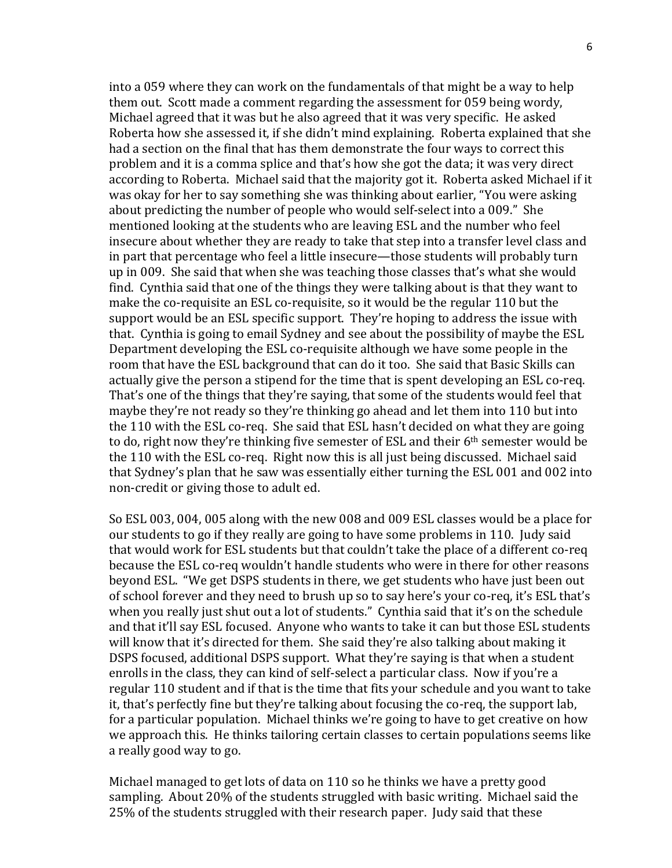into a 059 where they can work on the fundamentals of that might be a way to help them out. Scott made a comment regarding the assessment for 059 being wordy, Michael agreed that it was but he also agreed that it was very specific. He asked Roberta how she assessed it, if she didn't mind explaining. Roberta explained that she had a section on the final that has them demonstrate the four ways to correct this problem and it is a comma splice and that's how she got the data; it was very direct according to Roberta. Michael said that the majority got it. Roberta asked Michael if it was okay for her to say something she was thinking about earlier, "You were asking about predicting the number of people who would self-select into a 009." She mentioned looking at the students who are leaving ESL and the number who feel insecure about whether they are ready to take that step into a transfer level class and in part that percentage who feel a little insecure—those students will probably turn up in 009. She said that when she was teaching those classes that's what she would find. Cynthia said that one of the things they were talking about is that they want to make the co-requisite an ESL co-requisite, so it would be the regular 110 but the support would be an ESL specific support. They're hoping to address the issue with that. Cynthia is going to email Sydney and see about the possibility of maybe the ESL Department developing the ESL co-requisite although we have some people in the room that have the ESL background that can do it too. She said that Basic Skills can actually give the person a stipend for the time that is spent developing an ESL co-req. That's one of the things that they're saying, that some of the students would feel that maybe they're not ready so they're thinking go ahead and let them into 110 but into the 110 with the ESL co-req. She said that ESL hasn't decided on what they are going to do, right now they're thinking five semester of ESL and their  $6<sup>th</sup>$  semester would be the 110 with the ESL co-req. Right now this is all just being discussed. Michael said that Sydney's plan that he saw was essentially either turning the ESL 001 and 002 into non-credit or giving those to adult ed.

So ESL 003, 004, 005 along with the new 008 and 009 ESL classes would be a place for our students to go if they really are going to have some problems in 110. Judy said that would work for ESL students but that couldn't take the place of a different co-req because the ESL co-req wouldn't handle students who were in there for other reasons beyond ESL. "We get DSPS students in there, we get students who have just been out of school forever and they need to brush up so to say here's your co-req, it's ESL that's when you really just shut out a lot of students." Cynthia said that it's on the schedule and that it'll say ESL focused. Anyone who wants to take it can but those ESL students will know that it's directed for them. She said they're also talking about making it DSPS focused, additional DSPS support. What they're saying is that when a student enrolls in the class, they can kind of self-select a particular class. Now if you're a regular 110 student and if that is the time that fits your schedule and you want to take it, that's perfectly fine but they're talking about focusing the co-req, the support lab, for a particular population. Michael thinks we're going to have to get creative on how we approach this. He thinks tailoring certain classes to certain populations seems like a really good way to go.

Michael managed to get lots of data on 110 so he thinks we have a pretty good sampling. About 20% of the students struggled with basic writing. Michael said the 25% of the students struggled with their research paper. Judy said that these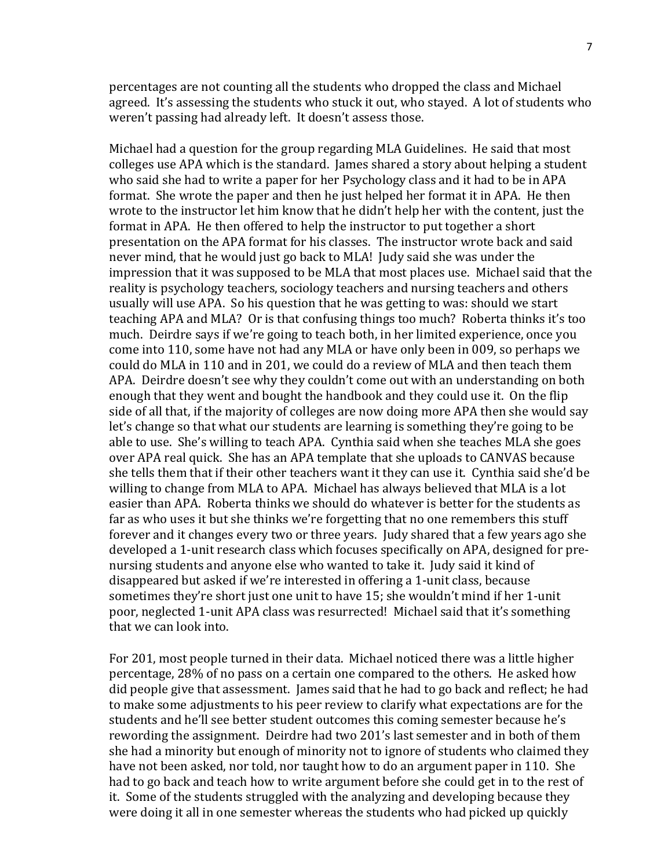percentages are not counting all the students who dropped the class and Michael agreed. It's assessing the students who stuck it out, who stayed. A lot of students who weren't passing had already left. It doesn't assess those.

Michael had a question for the group regarding MLA Guidelines. He said that most colleges use APA which is the standard. James shared a story about helping a student who said she had to write a paper for her Psychology class and it had to be in APA format. She wrote the paper and then he just helped her format it in APA. He then wrote to the instructor let him know that he didn't help her with the content, just the format in APA. He then offered to help the instructor to put together a short presentation on the APA format for his classes. The instructor wrote back and said never mind, that he would just go back to MLA! Judy said she was under the impression that it was supposed to be MLA that most places use. Michael said that the reality is psychology teachers, sociology teachers and nursing teachers and others usually will use APA. So his question that he was getting to was: should we start teaching APA and MLA? Or is that confusing things too much? Roberta thinks it's too much. Deirdre says if we're going to teach both, in her limited experience, once you come into 110, some have not had any MLA or have only been in 009, so perhaps we could do MLA in 110 and in 201, we could do a review of MLA and then teach them APA. Deirdre doesn't see why they couldn't come out with an understanding on both enough that they went and bought the handbook and they could use it. On the flip side of all that, if the majority of colleges are now doing more APA then she would say let's change so that what our students are learning is something they're going to be able to use. She's willing to teach APA. Cynthia said when she teaches MLA she goes over APA real quick. She has an APA template that she uploads to CANVAS because she tells them that if their other teachers want it they can use it. Cynthia said she'd be willing to change from MLA to APA. Michael has always believed that MLA is a lot easier than APA. Roberta thinks we should do whatever is better for the students as far as who uses it but she thinks we're forgetting that no one remembers this stuff forever and it changes every two or three years. Judy shared that a few years ago she developed a 1-unit research class which focuses specifically on APA, designed for prenursing students and anyone else who wanted to take it. Judy said it kind of disappeared but asked if we're interested in offering a 1-unit class, because sometimes they're short just one unit to have 15; she wouldn't mind if her 1-unit poor, neglected 1-unit APA class was resurrected! Michael said that it's something that we can look into.

For 201, most people turned in their data. Michael noticed there was a little higher percentage, 28% of no pass on a certain one compared to the others. He asked how did people give that assessment. James said that he had to go back and reflect; he had to make some adjustments to his peer review to clarify what expectations are for the students and he'll see better student outcomes this coming semester because he's rewording the assignment. Deirdre had two 201's last semester and in both of them she had a minority but enough of minority not to ignore of students who claimed they have not been asked, nor told, nor taught how to do an argument paper in 110. She had to go back and teach how to write argument before she could get in to the rest of it. Some of the students struggled with the analyzing and developing because they were doing it all in one semester whereas the students who had picked up quickly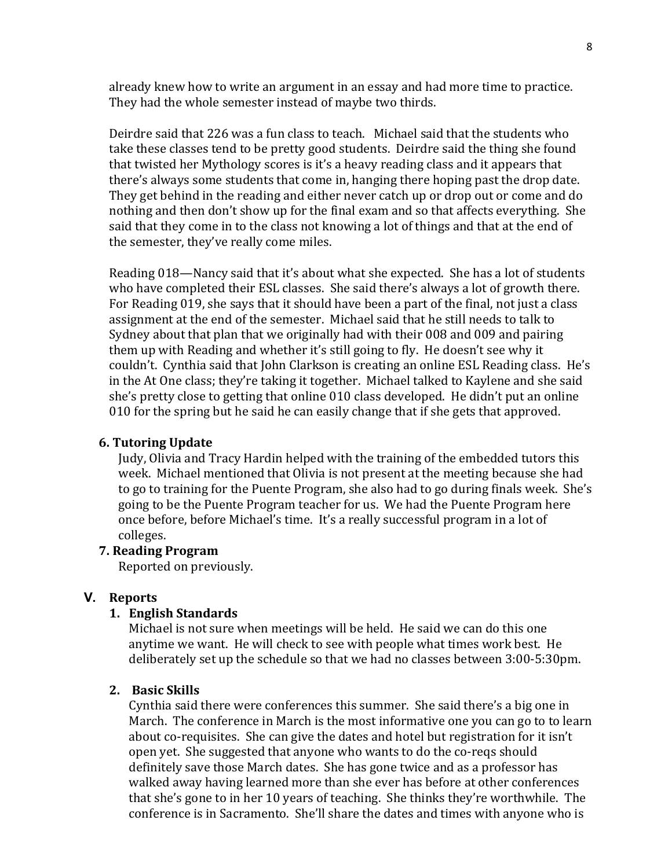already knew how to write an argument in an essay and had more time to practice. They had the whole semester instead of maybe two thirds.

Deirdre said that 226 was a fun class to teach. Michael said that the students who take these classes tend to be pretty good students. Deirdre said the thing she found that twisted her Mythology scores is it's a heavy reading class and it appears that there's always some students that come in, hanging there hoping past the drop date. They get behind in the reading and either never catch up or drop out or come and do nothing and then don't show up for the final exam and so that affects everything. She said that they come in to the class not knowing a lot of things and that at the end of the semester, they've really come miles.

Reading 018—Nancy said that it's about what she expected. She has a lot of students who have completed their ESL classes. She said there's always a lot of growth there. For Reading 019, she says that it should have been a part of the final, not just a class assignment at the end of the semester. Michael said that he still needs to talk to Sydney about that plan that we originally had with their 008 and 009 and pairing them up with Reading and whether it's still going to fly. He doesn't see why it couldn't. Cynthia said that John Clarkson is creating an online ESL Reading class. He's in the At One class; they're taking it together. Michael talked to Kaylene and she said she's pretty close to getting that online 010 class developed. He didn't put an online 010 for the spring but he said he can easily change that if she gets that approved.

# **6. Tutoring Update**

Judy, Olivia and Tracy Hardin helped with the training of the embedded tutors this week. Michael mentioned that Olivia is not present at the meeting because she had to go to training for the Puente Program, she also had to go during finals week. She's going to be the Puente Program teacher for us. We had the Puente Program here once before, before Michael's time. It's a really successful program in a lot of colleges. 

# **7. Reading Program**

Reported on previously.

# **V. Reports**

#### **1. English Standards**

Michael is not sure when meetings will be held. He said we can do this one anytime we want. He will check to see with people what times work best. He deliberately set up the schedule so that we had no classes between 3:00-5:30pm.

#### **2. Basic Skills**

Cynthia said there were conferences this summer. She said there's a big one in March. The conference in March is the most informative one you can go to to learn about co-requisites. She can give the dates and hotel but registration for it isn't open yet. She suggested that anyone who wants to do the co-reqs should definitely save those March dates. She has gone twice and as a professor has walked away having learned more than she ever has before at other conferences that she's gone to in her 10 years of teaching. She thinks they're worthwhile. The conference is in Sacramento. She'll share the dates and times with anyone who is